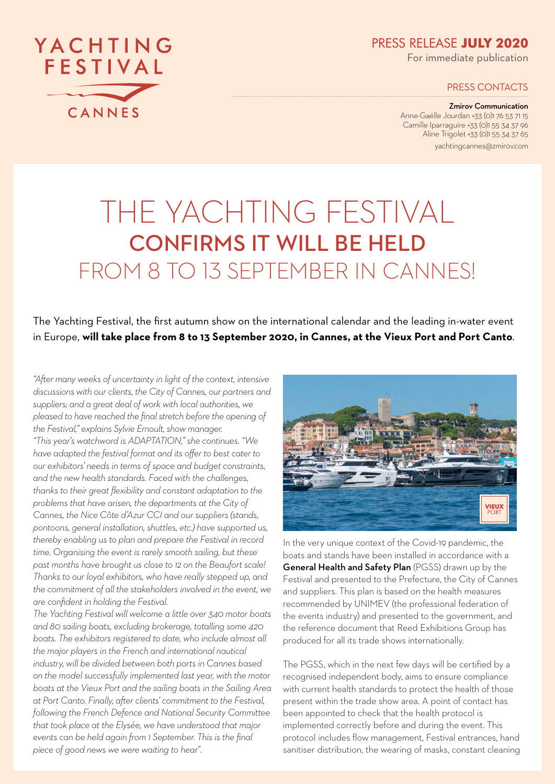PRESS RELEASE **JULY 2020**

For immediate publication

PRESS CONTACTS

Zmirov Communication Anne-Gaëlle Jourdan +33 (0)1 76 53 71 15 Camille Iparraguire +33 (0)1 55 34 37 96 Aline Trigolet +33 (0)1 55 34 37 65

yachtingcannes@zmirov.com

# THE YACHTING FESTIVAL CONFIRMS IT WILL BE HELD FROM 8 TO 13 SEPTEMBER IN CANNES!

#### The Yachting Festival, the first autumn show on the international calendar and the leading in-water event in Europe, **will take place from 8 to 13 September 2020, in Cannes, at the Vieux Port and Port Canto**.

*"After many weeks of uncertainty in light of the context, intensive discussions with our clients, the City of Cannes, our partners and suppliers; and a great deal of work with local authorities, we pleased to have reached the final stretch before the opening of the Festival," explains Sylvie Ernoult, show manager.*

*"This year's watchword is ADAPTATION," she continues. "We have adapted the festival format and its offer to best cater to our exhibitors' needs in terms of space and budget constraints, and the new health standards. Faced with the challenges, thanks to their great flexibility and constant adaptation to the problems that have arisen, the departments at the City of Cannes, the Nice Côte d'Azur CCI and our suppliers (stands, pontoons, general installation, shuttles, etc.) have supported us, thereby enabling us to plan and prepare the Festival in record time. Organising the event is rarely smooth sailing, but these past months have brought us close to 12 on the Beaufort scale! Thanks to our loyal exhibitors, who have really stepped up, and the commitment of all the stakeholders involved in the event, we are confident in holding the Festival.*

*The Yachting Festival will welcome a little over 340 motor boats and 80 sailing boats, excluding brokerage, totalling some 420 boats. The exhibitors registered to date, who include almost all the major players in the French and international nautical industry, will be divided between both ports in Cannes based on the model successfully implemented last year, with the motor boats at the Vieux Port and the sailing boats in the Sailing Area at Port Canto. Finally, after clients' commitment to the Festival, following the French Defence and National Security Committee that took place at the Elysée, we have understood that major events can be held again from 1 September. This is the final piece of good news we were waiting to hear".*



In the very unique context of the Covid-19 pandemic, the boats and stands have been installed in accordance with a General Health and Safety Plan (PGSS) drawn up by the Festival and presented to the Prefecture, the City of Cannes and suppliers. This plan is based on the health measures recommended by UNIMEV (the professional federation of the events industry) and presented to the government, and the reference document that Reed Exhibitions Group has produced for all its trade shows internationally.

The PGSS, which in the next few days will be certified by a recognised independent body, aims to ensure compliance with current health standards to protect the health of those present within the trade show area. A point of contact has been appointed to check that the health protocol is implemented correctly before and during the event. This protocol includes flow management, Festival entrances, hand sanitiser distribution, the wearing of masks, constant cleaning